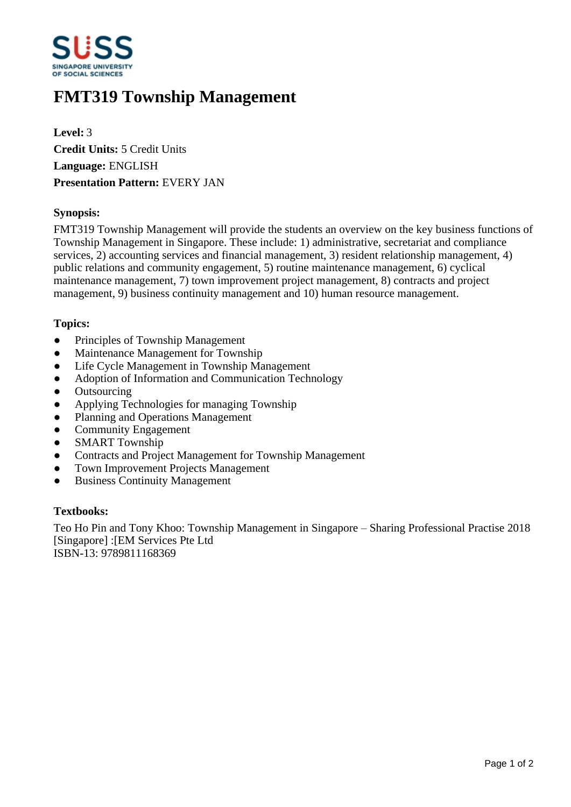

# **FMT319 Township Management**

**Level:** 3 **Credit Units:** 5 Credit Units **Language:** ENGLISH **Presentation Pattern:** EVERY JAN

# **Synopsis:**

FMT319 Township Management will provide the students an overview on the key business functions of Township Management in Singapore. These include: 1) administrative, secretariat and compliance services, 2) accounting services and financial management, 3) resident relationship management, 4) public relations and community engagement, 5) routine maintenance management, 6) cyclical maintenance management, 7) town improvement project management, 8) contracts and project management, 9) business continuity management and 10) human resource management.

# **Topics:**

- Principles of Township Management
- Maintenance Management for Township
- Life Cycle Management in Township Management
- Adoption of Information and Communication Technology
- **Outsourcing**
- Applying Technologies for managing Township
- Planning and Operations Management
- Community Engagement
- SMART Township
- Contracts and Project Management for Township Management
- Town Improvement Projects Management
- **Business Continuity Management**

### **Textbooks:**

Teo Ho Pin and Tony Khoo: Township Management in Singapore – Sharing Professional Practise 2018 [Singapore] :[EM Services Pte Ltd ISBN-13: 9789811168369